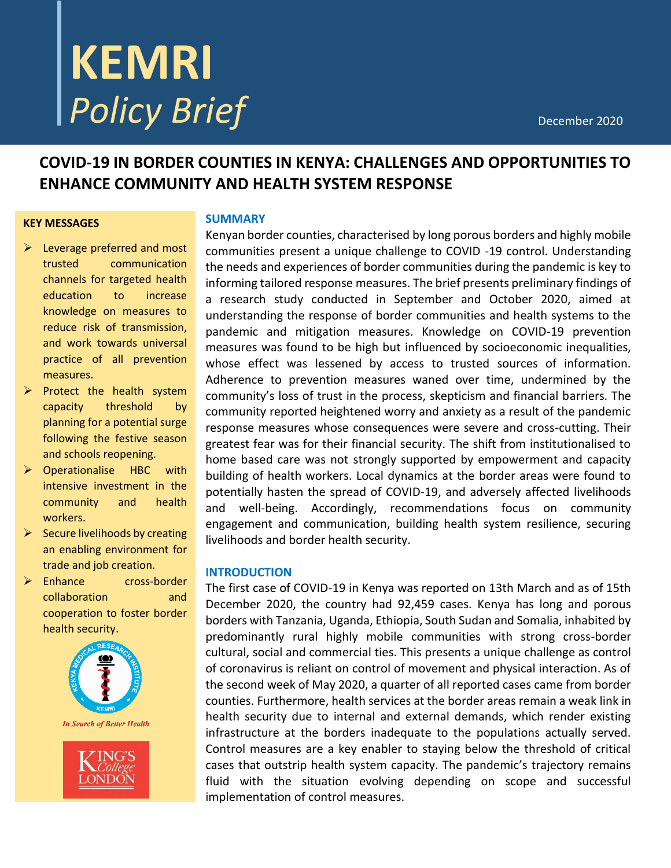# **KEMRI Policy Brief** December 2020

# **COVID-19 IN BORDER COUNTIES IN KENYA: CHALLENGES AND OPPORTUNITIES TO ENHANCE COMMUNITY AND HEALTH SYSTEM RESPONSE**

#### **KEY MESSAGES**

- $\triangleright$  Leverage preferred and most trusted communication channels for targeted health education to increase knowledge on measures to reduce risk of transmission, and work towards universal practice of all prevention measures.
- $\triangleright$  Protect the health system capacity threshold by planning for a potential surge following the festive season and schools reopening.
- $\triangleright$  Operationalise HBC with intensive investment in the community and health workers.
- $\triangleright$  Secure livelihoods by creating an enabling environment for trade and job creation.
- Enhance cross-border collaboration and cooperation to foster border health security.



ONDON

#### **SUMMARY**

Kenyan border counties, characterised by long porous borders and highly mobile communities present a unique challenge to COVID -19 control. Understanding the needs and experiences of border communities during the pandemic is key to informing tailored response measures. The brief presents preliminary findings of a research study conducted in September and October 2020, aimed at understanding the response of border communities and health systems to the pandemic and mitigation measures. Knowledge on COVID-19 prevention measures was found to be high but influenced by socioeconomic inequalities, whose effect was lessened by access to trusted sources of information. Adherence to prevention measures waned over time, undermined by the community's loss of trust in the process, skepticism and financial barriers. The community reported heightened worry and anxiety as a result of the pandemic response measures whose consequences were severe and cross-cutting. Their greatest fear was for their financial security. The shift from institutionalised to home based care was not strongly supported by empowerment and capacity building of health workers. Local dynamics at the border areas were found to potentially hasten the spread of COVID-19, and adversely affected livelihoods and well-being. Accordingly, recommendations focus on community engagement and communication, building health system resilience, securing livelihoods and border health security.

#### **INTRODUCTION**

The first case of COVID-19 in Kenya was reported on 13th March and as of 15th December 2020, the country had 92,459 cases. Kenya has long and porous borders with Tanzania, Uganda, Ethiopia, South Sudan and Somalia, inhabited by predominantly rural highly mobile communities with strong cross-border cultural, social and commercial ties. This presents a unique challenge as control of coronavirus is reliant on control of movement and physical interaction. As of the second week of May 2020, a quarter of all reported cases came from border counties. Furthermore, health services at the border areas remain a weak link in health security due to internal and external demands, which render existing infrastructure at the borders inadequate to the populations actually served. Control measures are a key enabler to staying below the threshold of critical cases that outstrip health system capacity. The pandemic's trajectory remains fluid with the situation evolving depending on scope and successful implementation of control measures.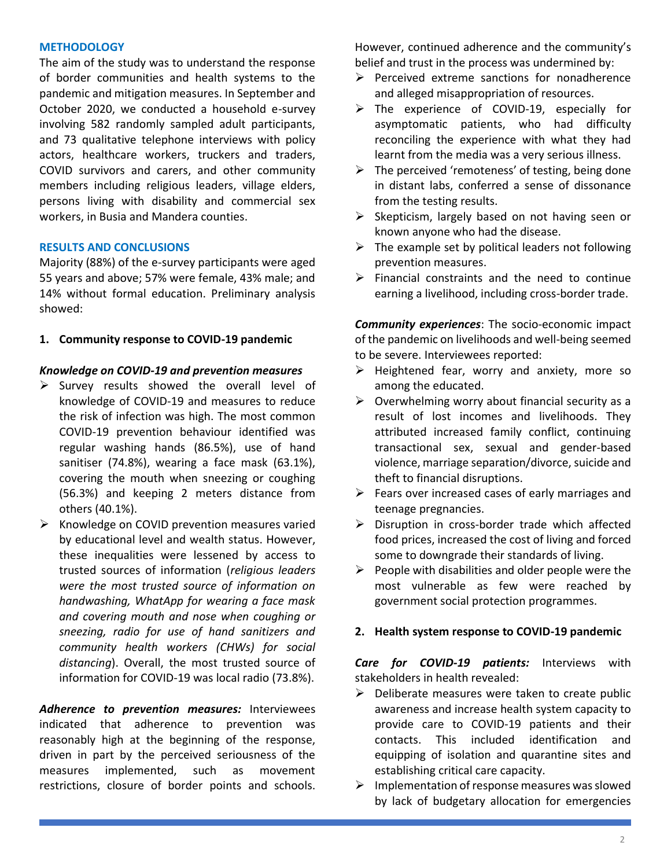#### **METHODOLOGY**

The aim of the study was to understand the response of border communities and health systems to the pandemic and mitigation measures. In September and October 2020, we conducted a household e-survey involving 582 randomly sampled adult participants, and 73 qualitative telephone interviews with policy actors, healthcare workers, truckers and traders, COVID survivors and carers, and other community members including religious leaders, village elders, persons living with disability and commercial sex workers, in Busia and Mandera counties.

#### **RESULTS AND CONCLUSIONS**

Majority (88%) of the e-survey participants were aged 55 years and above; 57% were female, 43% male; and 14% without formal education. Preliminary analysis showed:

**1. Community response to COVID-19 pandemic**

#### *Knowledge on COVID-19 and prevention measures*

- $\triangleright$  Survey results showed the overall level of knowledge of COVID-19 and measures to reduce the risk of infection was high. The most common COVID-19 prevention behaviour identified was regular washing hands (86.5%), use of hand sanitiser (74.8%), wearing a face mask (63.1%), covering the mouth when sneezing or coughing (56.3%) and keeping 2 meters distance from others (40.1%).
- $\triangleright$  Knowledge on COVID prevention measures varied by educational level and wealth status. However, these inequalities were lessened by access to trusted sources of information (*religious leaders were the most trusted source of information on handwashing, WhatApp for wearing a face mask and covering mouth and nose when coughing or sneezing, radio for use of hand sanitizers and community health workers (CHWs) for social distancing*). Overall, the most trusted source of information for COVID-19 was local radio (73.8%).

*Adherence to prevention measures:* Interviewees indicated that adherence to prevention was reasonably high at the beginning of the response, driven in part by the perceived seriousness of the measures implemented, such as movement restrictions, closure of border points and schools.

However, continued adherence and the community's belief and trust in the process was undermined by:

- $\triangleright$  Perceived extreme sanctions for nonadherence and alleged misappropriation of resources.
- > The experience of COVID-19, especially for asymptomatic patients, who had difficulty reconciling the experience with what they had learnt from the media was a very serious illness.
- $\triangleright$  The perceived 'remoteness' of testing, being done in distant labs, conferred a sense of dissonance from the testing results.
- $\triangleright$  Skepticism, largely based on not having seen or known anyone who had the disease.
- $\triangleright$  The example set by political leaders not following prevention measures.
- $\triangleright$  Financial constraints and the need to continue earning a livelihood, including cross-border trade.

*Community experiences*: The socio-economic impact of the pandemic on livelihoods and well-being seemed to be severe. Interviewees reported:

- $\triangleright$  Heightened fear, worry and anxiety, more so among the educated.
- $\triangleright$  Overwhelming worry about financial security as a result of lost incomes and livelihoods. They attributed increased family conflict, continuing transactional sex, sexual and gender-based violence, marriage separation/divorce, suicide and theft to financial disruptions.
- $\triangleright$  Fears over increased cases of early marriages and teenage pregnancies.
- $\triangleright$  Disruption in cross-border trade which affected food prices, increased the cost of living and forced some to downgrade their standards of living.
- $\triangleright$  People with disabilities and older people were the most vulnerable as few were reached by government social protection programmes.

#### **2. Health system response to COVID-19 pandemic**

*Care for COVID-19 patients:* Interviews with stakeholders in health revealed:

- $\triangleright$  Deliberate measures were taken to create public awareness and increase health system capacity to provide care to COVID-19 patients and their contacts. This included identification and equipping of isolation and quarantine sites and establishing critical care capacity.
- $\triangleright$  Implementation of response measures was slowed by lack of budgetary allocation for emergencies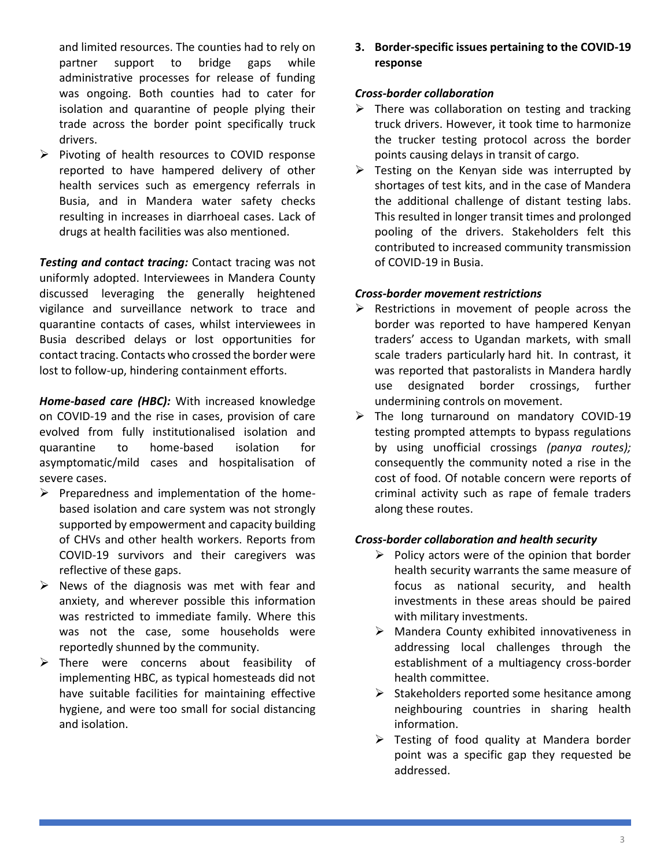and limited resources. The counties had to rely on partner support to bridge gaps while administrative processes for release of funding was ongoing. Both counties had to cater for isolation and quarantine of people plying their trade across the border point specifically truck drivers.

 $\triangleright$  Pivoting of health resources to COVID response reported to have hampered delivery of other health services such as emergency referrals in Busia, and in Mandera water safety checks resulting in increases in diarrhoeal cases. Lack of drugs at health facilities was also mentioned.

*Testing and contact tracing:* Contact tracing was not uniformly adopted. Interviewees in Mandera County discussed leveraging the generally heightened vigilance and surveillance network to trace and quarantine contacts of cases, whilst interviewees in Busia described delays or lost opportunities for contact tracing. Contacts who crossed the border were lost to follow-up, hindering containment efforts.

*Home-based care (HBC):* With increased knowledge on COVID-19 and the rise in cases, provision of care evolved from fully institutionalised isolation and quarantine to home-based isolation for asymptomatic/mild cases and hospitalisation of severe cases.

- $\triangleright$  Preparedness and implementation of the homebased isolation and care system was not strongly supported by empowerment and capacity building of CHVs and other health workers. Reports from COVID-19 survivors and their caregivers was reflective of these gaps.
- $\triangleright$  News of the diagnosis was met with fear and anxiety, and wherever possible this information was restricted to immediate family. Where this was not the case, some households were reportedly shunned by the community.
- $\triangleright$  There were concerns about feasibility of implementing HBC, as typical homesteads did not have suitable facilities for maintaining effective hygiene, and were too small for social distancing and isolation.

**3. Border-specific issues pertaining to the COVID-19 response**

# *Cross-border collaboration*

- $\triangleright$  There was collaboration on testing and tracking truck drivers. However, it took time to harmonize the trucker testing protocol across the border points causing delays in transit of cargo.
- $\triangleright$  Testing on the Kenyan side was interrupted by shortages of test kits, and in the case of Mandera the additional challenge of distant testing labs. This resulted in longer transit times and prolonged pooling of the drivers. Stakeholders felt this contributed to increased community transmission of COVID-19 in Busia.

### *Cross-border movement restrictions*

- $\triangleright$  Restrictions in movement of people across the border was reported to have hampered Kenyan traders' access to Ugandan markets, with small scale traders particularly hard hit. In contrast, it was reported that pastoralists in Mandera hardly use designated border crossings, further undermining controls on movement.
- $\triangleright$  The long turnaround on mandatory COVID-19 testing prompted attempts to bypass regulations by using unofficial crossings *(panya routes);*  consequently the community noted a rise in the cost of food. Of notable concern were reports of criminal activity such as rape of female traders along these routes.

# *Cross-border collaboration and health security*

- $\triangleright$  Policy actors were of the opinion that border health security warrants the same measure of focus as national security, and health investments in these areas should be paired with military investments.
- $\triangleright$  Mandera County exhibited innovativeness in addressing local challenges through the establishment of a multiagency cross-border health committee.
- $\triangleright$  Stakeholders reported some hesitance among neighbouring countries in sharing health information.
- $\triangleright$  Testing of food quality at Mandera border point was a specific gap they requested be addressed.